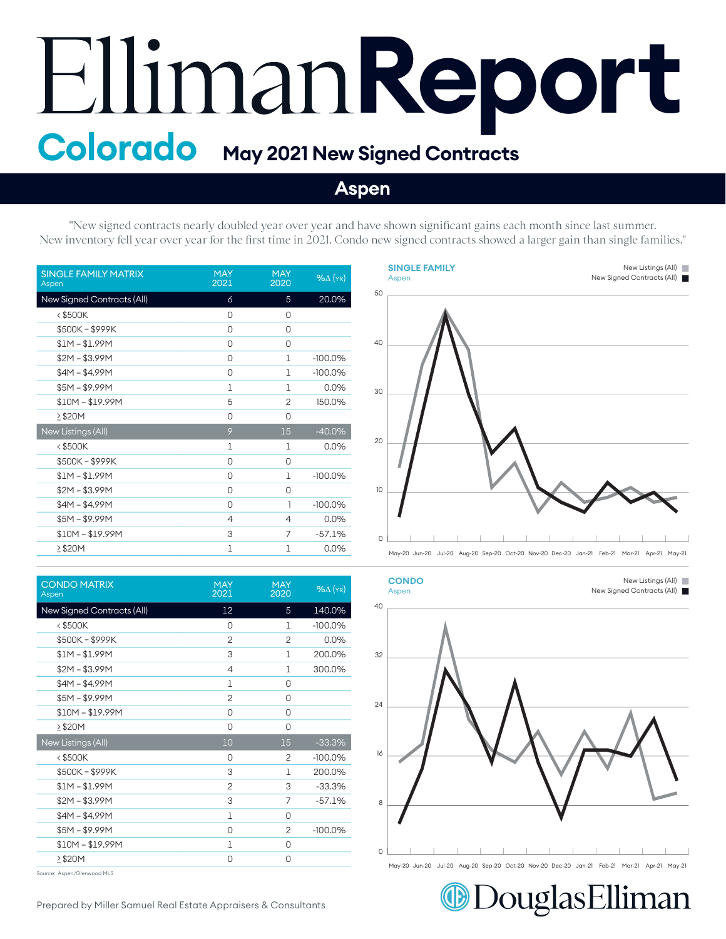## Elliman Report

## **Aspen**

"New signed contracts nearly doubled year over year and have shown significant gains each month since last summer. New inventory fell year over year for the first time in 2021. Condo new signed contracts showed a larger gain than single families."

| <b>SINGLE FAMILY MATRIX</b><br>Aspen | <b>MAY</b><br>2021 | <b>MAY</b><br>2020 | $%$ $\Delta$ (YR) |
|--------------------------------------|--------------------|--------------------|-------------------|
| New Signed Contracts (All)           | 6                  | 5                  | 20.0%             |
| $<$ \$500K                           | 0                  | 0                  |                   |
| \$500K-\$999K                        | 0                  | 0                  |                   |
| $$1M - $1.99M$                       | 0                  | 0                  |                   |
| $$2M - $3.99M$                       | 0                  | 1                  | $-100.0%$         |
| $$4M - $4.99M$                       | 0                  | 1                  | $-100.0%$         |
| $$5M - $9.99M$                       | $\mathbf{1}$       | 1                  | 0.0%              |
| $$10M - $19.99M$                     | 5                  | $\overline{c}$     | 150.0%            |
| >\$20M                               | 0                  | 0                  |                   |
| New Listings (All)                   | 9                  | 15                 | $-40.0%$          |
| $<$ \$500K                           | 1                  | 1                  | 0.0%              |
| \$500K-\$999K                        | 0                  | 0                  |                   |
| $$1M - $1.99M$                       | 0                  | 1                  | $-100.0%$         |
| $$2M - $3.99M$                       | 0                  | 0                  |                   |
| $$4M - $4.99M$                       | 0                  | 1                  | $-100.0%$         |
| $$5M - $9.99M$                       | 4                  | 4                  | 0.0%              |
| $$10M - $19.99M$                     | 3                  | 7                  | $-57.1%$          |
| >\$20M                               | 1                  | 1                  | 0.0%              |

| <b>CONDO MATRIX</b><br>Aspen | <b>MAY</b><br>2021 | <b>MAY</b><br>2020 | $%$ $\Delta$ (YR) |
|------------------------------|--------------------|--------------------|-------------------|
| New Signed Contracts (All)   | 12                 | 5                  | 140.0%            |
| <\$500K                      | 0                  | 1                  | $-100.0%$         |
| \$500K-\$999K                | $\overline{c}$     | $\overline{c}$     | 0.0%              |
| $$1M - $1.99M$               | 3                  | 1                  | 200.0%            |
| $$2M - $3.99M$               | $\overline{4}$     | 1                  | 300.0%            |
| $$4M - $4.99M$               | 1                  | 0                  |                   |
| $$5M - $9.99M$               | $\overline{2}$     | 0                  |                   |
| $$10M - $19.99M$             | 0                  | 0                  |                   |
| $\geq$ \$20M                 | 0                  | 0                  |                   |
| New Listings (All)           | 10                 | 15                 | $-33.3%$          |
| <\$500K                      | 0                  | 2                  | $-100.0%$         |
| \$500K-\$999K                | 3                  | 1                  | 200.0%            |
| $$1M - $1.99M$               | $\overline{c}$     | 3                  | $-33.3%$          |
| $$2M - $3.99M$               | 3                  | 7                  | $-57.1%$          |
| $$4M - $4.99M$               | $\mathbf{1}$       | 0                  |                   |
| $$5M - $9.99M$               | 0                  | $\overline{2}$     | $-100.0\%$        |
| $$10M - $19.99M$             | 1                  | 0                  |                   |
| ≥\$20M                       | 0                  | 0                  |                   |
|                              |                    |                    |                   |

Source: Aspen/Glenwood MLS





DouglasElliman